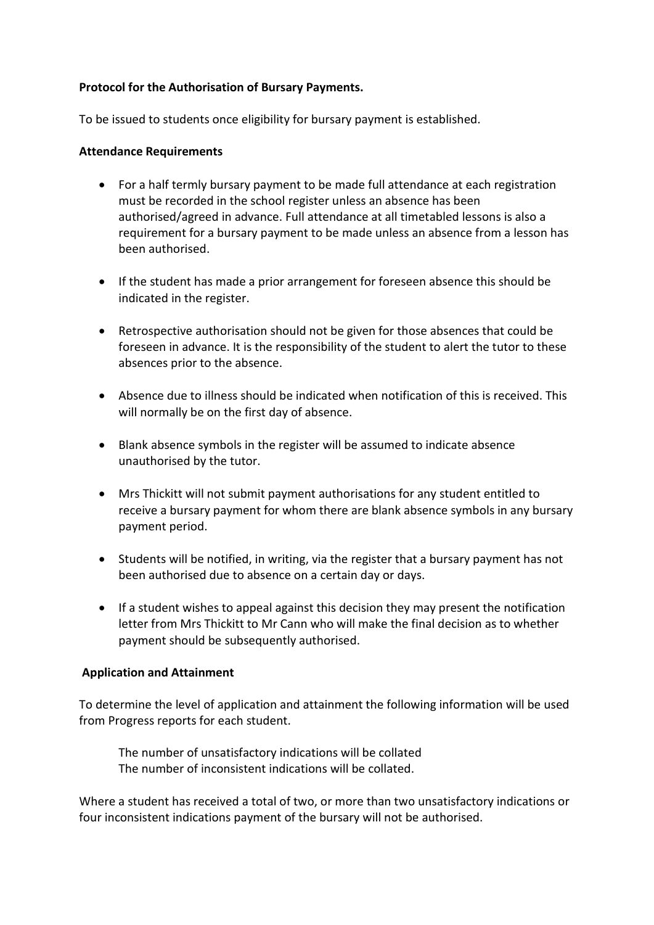## **Protocol for the Authorisation of Bursary Payments.**

To be issued to students once eligibility for bursary payment is established.

## **Attendance Requirements**

- For a half termly bursary payment to be made full attendance at each registration must be recorded in the school register unless an absence has been authorised/agreed in advance. Full attendance at all timetabled lessons is also a requirement for a bursary payment to be made unless an absence from a lesson has been authorised.
- If the student has made a prior arrangement for foreseen absence this should be indicated in the register.
- Retrospective authorisation should not be given for those absences that could be foreseen in advance. It is the responsibility of the student to alert the tutor to these absences prior to the absence.
- Absence due to illness should be indicated when notification of this is received. This will normally be on the first day of absence.
- Blank absence symbols in the register will be assumed to indicate absence unauthorised by the tutor.
- Mrs Thickitt will not submit payment authorisations for any student entitled to receive a bursary payment for whom there are blank absence symbols in any bursary payment period.
- Students will be notified, in writing, via the register that a bursary payment has not been authorised due to absence on a certain day or days.
- If a student wishes to appeal against this decision they may present the notification letter from Mrs Thickitt to Mr Cann who will make the final decision as to whether payment should be subsequently authorised.

## **Application and Attainment**

To determine the level of application and attainment the following information will be used from Progress reports for each student.

The number of unsatisfactory indications will be collated The number of inconsistent indications will be collated.

Where a student has received a total of two, or more than two unsatisfactory indications or four inconsistent indications payment of the bursary will not be authorised.